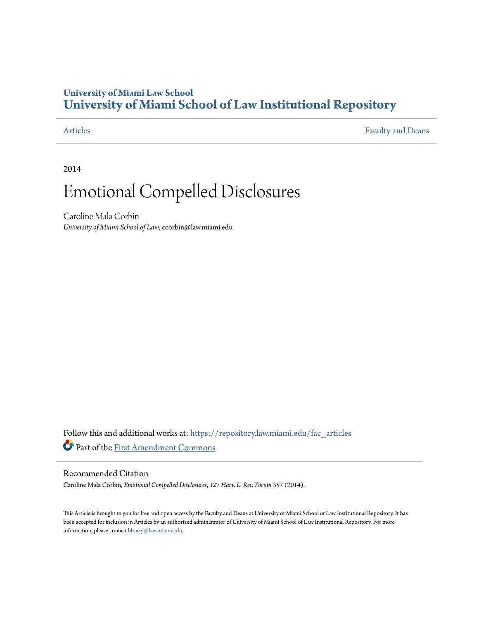## **University of Miami Law School [University of Miami School of Law Institutional Repository](https://repository.law.miami.edu?utm_source=repository.law.miami.edu%2Ffac_articles%2F44&utm_medium=PDF&utm_campaign=PDFCoverPages)**

[Articles](https://repository.law.miami.edu/fac_articles?utm_source=repository.law.miami.edu%2Ffac_articles%2F44&utm_medium=PDF&utm_campaign=PDFCoverPages) [Faculty and Deans](https://repository.law.miami.edu/faculty_publications?utm_source=repository.law.miami.edu%2Ffac_articles%2F44&utm_medium=PDF&utm_campaign=PDFCoverPages)

2014

# Emotional Compelled Disclosures

Caroline Mala Corbin *University of Miami School of Law*, ccorbin@law.miami.edu

Follow this and additional works at: [https://repository.law.miami.edu/fac\\_articles](https://repository.law.miami.edu/fac_articles?utm_source=repository.law.miami.edu%2Ffac_articles%2F44&utm_medium=PDF&utm_campaign=PDFCoverPages) Part of the [First Amendment Commons](http://network.bepress.com/hgg/discipline/1115?utm_source=repository.law.miami.edu%2Ffac_articles%2F44&utm_medium=PDF&utm_campaign=PDFCoverPages)

### Recommended Citation

Caroline Mala Corbin, *Emotional Compelled Disclosures*, 127 *Harv. L. Rev. Forum* 357 (2014).

This Article is brought to you for free and open access by the Faculty and Deans at University of Miami School of Law Institutional Repository. It has been accepted for inclusion in Articles by an authorized administrator of University of Miami School of Law Institutional Repository. For more information, please contact [library@law.miami.edu.](mailto:library@law.miami.edu)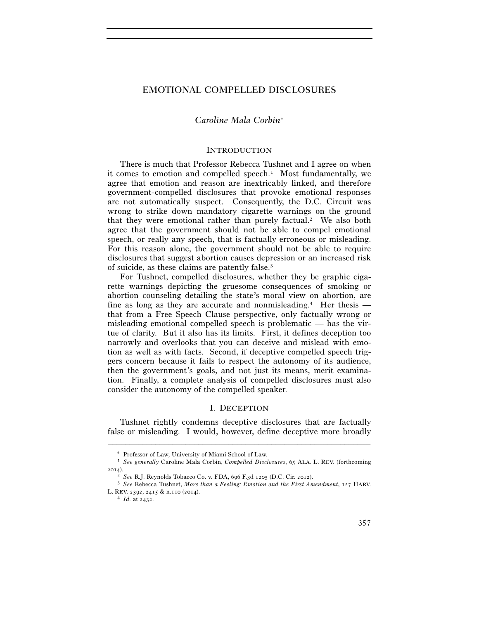#### EMOTIONAL COMPELLED DISCLOSURES

#### *Caroline Mala Corbin*<sup>∗</sup>

#### **INTRODUCTION**

There is much that Professor Rebecca Tushnet and I agree on when it comes to emotion and compelled speech.<sup>1</sup> Most fundamentally, we agree that emotion and reason are inextricably linked, and therefore government-compelled disclosures that provoke emotional responses are not automatically suspect. Consequently, the D.C. Circuit was wrong to strike down mandatory cigarette warnings on the ground that they were emotional rather than purely factual.<sup>2</sup> We also both agree that the government should not be able to compel emotional speech, or really any speech, that is factually erroneous or misleading. For this reason alone, the government should not be able to require disclosures that suggest abortion causes depression or an increased risk of suicide, as these claims are patently false.3

For Tushnet, compelled disclosures, whether they be graphic cigarette warnings depicting the gruesome consequences of smoking or abortion counseling detailing the state's moral view on abortion, are fine as long as they are accurate and nonmisleading.4 Her thesis that from a Free Speech Clause perspective, only factually wrong or misleading emotional compelled speech is problematic — has the virtue of clarity. But it also has its limits. First, it defines deception too narrowly and overlooks that you can deceive and mislead with emotion as well as with facts. Second, if deceptive compelled speech triggers concern because it fails to respect the autonomy of its audience, then the government's goals, and not just its means, merit examination. Finally, a complete analysis of compelled disclosures must also consider the autonomy of the compelled speaker.

#### I. DECEPTION

Tushnet rightly condemns deceptive disclosures that are factually false or misleading. I would, however, define deceptive more broadly

–––––––––––––––––––––––––––––––––––––––––––––––––––––––––––––

Professor of Law, University of Miami School of Law.

<sup>1</sup> *See generally* Caroline Mala Corbin, *Compelled Disclosures*, 65 ALA. L. REV. (forthcoming 2014).

<sup>2</sup> *See* R.J. Reynolds Tobacco Co. v. FDA, 696 F.3d 1205 (D.C. Cir. 2012). 3 *See* Rebecca Tushnet, *More than a Feeling: Emotion and the First Amendment*, 127 HARV. L. REV. 2392, 2415 & n.110 (2014). 4 *Id.* at 2432.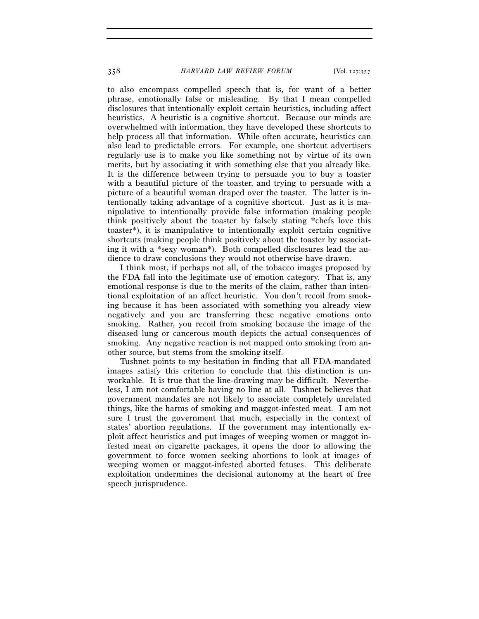to also encompass compelled speech that is, for want of a better phrase, emotionally false or misleading. By that I mean compelled disclosures that intentionally exploit certain heuristics, including affect heuristics. A heuristic is a cognitive shortcut. Because our minds are overwhelmed with information, they have developed these shortcuts to help process all that information. While often accurate, heuristics can also lead to predictable errors. For example, one shortcut advertisers regularly use is to make you like something not by virtue of its own merits, but by associating it with something else that you already like. It is the difference between trying to persuade you to buy a toaster with a beautiful picture of the toaster, and trying to persuade with a picture of a beautiful woman draped over the toaster. The latter is intentionally taking advantage of a cognitive shortcut. Just as it is manipulative to intentionally provide false information (making people think positively about the toaster by falsely stating \*chefs love this toaster\*), it is manipulative to intentionally exploit certain cognitive shortcuts (making people think positively about the toaster by associating it with a \*sexy woman\*). Both compelled disclosures lead the audience to draw conclusions they would not otherwise have drawn.

I think most, if perhaps not all, of the tobacco images proposed by the FDA fall into the legitimate use of emotion category. That is, any emotional response is due to the merits of the claim, rather than intentional exploitation of an affect heuristic. You don't recoil from smoking because it has been associated with something you already view negatively and you are transferring these negative emotions onto smoking. Rather, you recoil from smoking because the image of the diseased lung or cancerous mouth depicts the actual consequences of smoking. Any negative reaction is not mapped onto smoking from another source, but stems from the smoking itself.

Tushnet points to my hesitation in finding that all FDA-mandated images satisfy this criterion to conclude that this distinction is unworkable. It is true that the line-drawing may be difficult. Nevertheless, I am not comfortable having no line at all. Tushnet believes that government mandates are not likely to associate completely unrelated things, like the harms of smoking and maggot-infested meat. I am not sure I trust the government that much, especially in the context of states' abortion regulations. If the government may intentionally exploit affect heuristics and put images of weeping women or maggot infested meat on cigarette packages, it opens the door to allowing the government to force women seeking abortions to look at images of weeping women or maggot-infested aborted fetuses. This deliberate exploitation undermines the decisional autonomy at the heart of free speech jurisprudence.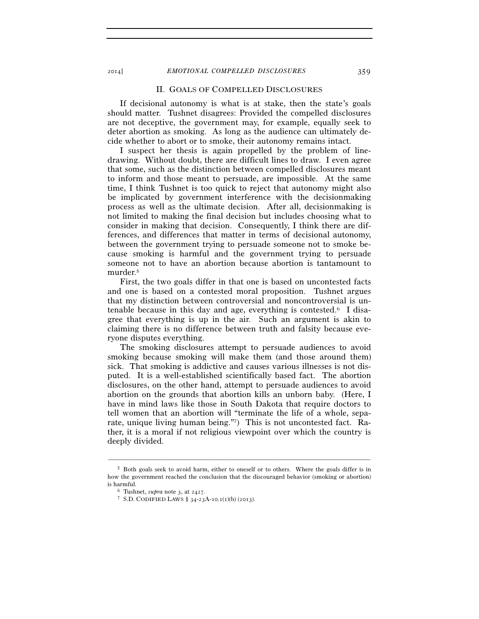2014] *EMOTIONAL COMPELLED DISCLOSURES* 359

#### II. GOALS OF COMPELLED DISCLOSURES

If decisional autonomy is what is at stake, then the state's goals should matter. Tushnet disagrees: Provided the compelled disclosures are not deceptive, the government may, for example, equally seek to deter abortion as smoking. As long as the audience can ultimately decide whether to abort or to smoke, their autonomy remains intact.

I suspect her thesis is again propelled by the problem of linedrawing. Without doubt, there are difficult lines to draw. I even agree that some, such as the distinction between compelled disclosures meant to inform and those meant to persuade, are impossible. At the same time, I think Tushnet is too quick to reject that autonomy might also be implicated by government interference with the decisionmaking process as well as the ultimate decision. After all, decisionmaking is not limited to making the final decision but includes choosing what to consider in making that decision. Consequently, I think there are differences, and differences that matter in terms of decisional autonomy, between the government trying to persuade someone not to smoke because smoking is harmful and the government trying to persuade someone not to have an abortion because abortion is tantamount to murder.5

First, the two goals differ in that one is based on uncontested facts and one is based on a contested moral proposition. Tushnet argues that my distinction between controversial and noncontroversial is untenable because in this day and age, everything is contested.6 I disagree that everything is up in the air. Such an argument is akin to claiming there is no difference between truth and falsity because everyone disputes everything.

The smoking disclosures attempt to persuade audiences to avoid smoking because smoking will make them (and those around them) sick. That smoking is addictive and causes various illnesses is not disputed. It is a well-established scientifically based fact. The abortion disclosures, on the other hand, attempt to persuade audiences to avoid abortion on the grounds that abortion kills an unborn baby. (Here, I have in mind laws like those in South Dakota that require doctors to tell women that an abortion will "terminate the life of a whole, separate, unique living human being."7) This is not uncontested fact. Rather, it is a moral if not religious viewpoint over which the country is deeply divided.

–––––––––––––––––––––––––––––––––––––––––––––––––––––––––––––

<sup>5</sup> Both goals seek to avoid harm, either to oneself or to others. Where the goals differ is in how the government reached the conclusion that the discouraged behavior (smoking or abortion) is harmful. 6 Tushnet, *supra* note 3, at 2427. 7 S.D. CODIFIED LAWS § 34-23A-10.1(1)(b) (2013).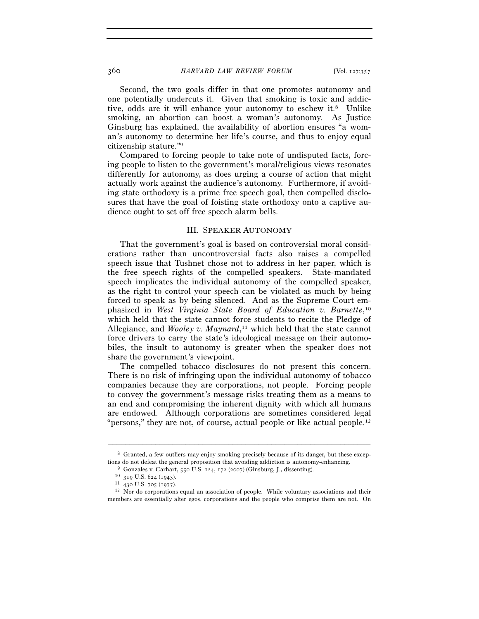Second, the two goals differ in that one promotes autonomy and one potentially undercuts it. Given that smoking is toxic and addictive, odds are it will enhance your autonomy to eschew it.8 Unlike smoking, an abortion can boost a woman's autonomy. As Justice Ginsburg has explained, the availability of abortion ensures "a woman's autonomy to determine her life's course, and thus to enjoy equal citizenship stature."9

Compared to forcing people to take note of undisputed facts, forcing people to listen to the government's moral/religious views resonates differently for autonomy, as does urging a course of action that might actually work against the audience's autonomy. Furthermore, if avoiding state orthodoxy is a prime free speech goal, then compelled disclosures that have the goal of foisting state orthodoxy onto a captive audience ought to set off free speech alarm bells.

#### III. SPEAKER AUTONOMY

That the government's goal is based on controversial moral considerations rather than uncontroversial facts also raises a compelled speech issue that Tushnet chose not to address in her paper, which is the free speech rights of the compelled speakers. State-mandated speech implicates the individual autonomy of the compelled speaker, as the right to control your speech can be violated as much by being forced to speak as by being silenced. And as the Supreme Court emphasized in *West Virginia State Board of Education v. Barnette*, 10 which held that the state cannot force students to recite the Pledge of Allegiance, and *Wooley v. Maynard*, 11 which held that the state cannot force drivers to carry the state's ideological message on their automobiles, the insult to autonomy is greater when the speaker does not share the government's viewpoint.

The compelled tobacco disclosures do not present this concern. There is no risk of infringing upon the individual autonomy of tobacco companies because they are corporations, not people. Forcing people to convey the government's message risks treating them as a means to an end and compromising the inherent dignity with which all humans are endowed. Although corporations are sometimes considered legal "persons," they are not, of course, actual people or like actual people.<sup>12</sup>

<sup>–––––––––––––––––––––––––––––––––––––––––––––––––––––––––––––</sup> 8 Granted, a few outliers may enjoy smoking precisely because of its danger, but these exceptions do not defeat the general proposition that avoiding addiction is autonomy-enhancing.<br><sup>9</sup> Gonzales v. Carhart, 550 U.S. 124, 172 (2007) (Ginsburg, J., dissenting).<br><sup>10</sup> 319 U.S. 624 (1943).<br><sup>11</sup> 430 U.S. 705 (1977).<br>

members are essentially alter egos, corporations and the people who comprise them are not. On